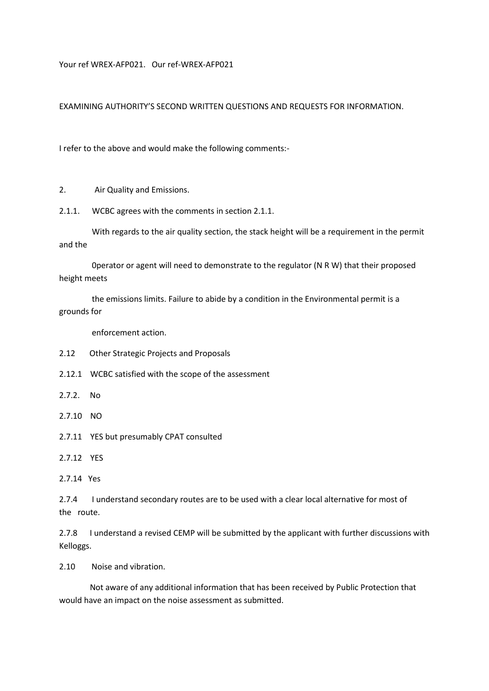Your ref WREX-AFP021. Our ref-WREX-AFP021

EXAMINING AUTHORITY'S SECOND WRITTEN QUESTIONS AND REQUESTS FOR INFORMATION.

I refer to the above and would make the following comments:-

2. Air Quality and Emissions.

2.1.1. WCBC agrees with the comments in section 2.1.1.

 With regards to the air quality section, the stack height will be a requirement in the permit and the

 0perator or agent will need to demonstrate to the regulator (N R W) that their proposed height meets

 the emissions limits. Failure to abide by a condition in the Environmental permit is a grounds for

enforcement action.

- 2.12 Other Strategic Projects and Proposals
- 2.12.1 WCBC satisfied with the scope of the assessment
- 2.7.2. No
- 2.7.10 NO
- 2.7.11 YES but presumably CPAT consulted
- 2.7.12 YES

2.7.4 I understand secondary routes are to be used with a clear local alternative for most of the route.

2.7.8 I understand a revised CEMP will be submitted by the applicant with further discussions with Kelloggs.

2.10 Noise and vibration.

 Not aware of any additional information that has been received by Public Protection that would have an impact on the noise assessment as submitted.

<sup>2.7.14</sup> Yes